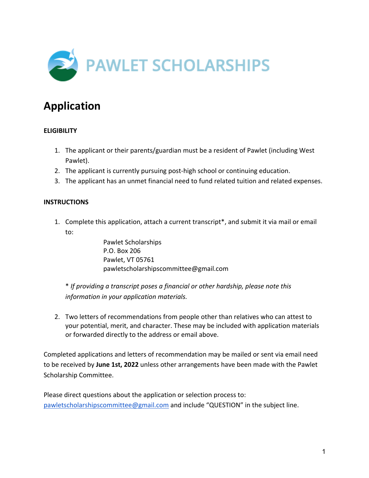

# **Application**

# **ELIGIBILITY**

- 1. The applicant or their parents/guardian must be a resident of Pawlet (including West Pawlet).
- 2. The applicant is currently pursuing post-high school or continuing education.
- 3. The applicant has an unmet financial need to fund related tuition and related expenses.

## **INSTRUCTIONS**

1. Complete this application, attach a current transcript\*, and submit it via mail or email to:

> Pawlet Scholarships P.O. Box 206 Pawlet, VT 05761 pawletscholarshipscommittee@gmail.com

\* *If providing a transcript poses a financial or other hardship, please note this information in your application materials.*

2. Two letters of recommendations from people other than relatives who can attest to your potential, merit, and character. These may be included with application materials or forwarded directly to the address or email above.

Completed applications and letters of recommendation may be mailed or sent via email need to be received by **June 1st, 2022** unless other arrangements have been made with the Pawlet Scholarship Committee.

Please direct questions about the application or selection process to: pawletscholarshipscommittee@gmail.com and include "QUESTION" in the subject line.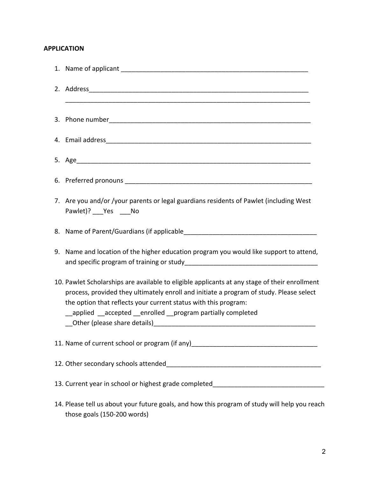# **APPLICATION**

| 7. Are you and/or /your parents or legal guardians residents of Pawlet (including West<br>Pawlet)? ___ Yes ____ No                                                                                                                                                                                                           |
|------------------------------------------------------------------------------------------------------------------------------------------------------------------------------------------------------------------------------------------------------------------------------------------------------------------------------|
|                                                                                                                                                                                                                                                                                                                              |
| 9. Name and location of the higher education program you would like support to attend,                                                                                                                                                                                                                                       |
| 10. Pawlet Scholarships are available to eligible applicants at any stage of their enrollment<br>process, provided they ultimately enroll and initiate a program of study. Please select<br>the option that reflects your current status with this program:<br>__applied __accepted __enrolled __program partially completed |
| 11. Name of current school or program (if any)__________________________________                                                                                                                                                                                                                                             |
|                                                                                                                                                                                                                                                                                                                              |
| 13. Current year in school or highest grade completed___________________________                                                                                                                                                                                                                                             |
| 14. Please tell us about your future goals, and how this program of study will help you reach<br>those goals (150-200 words)                                                                                                                                                                                                 |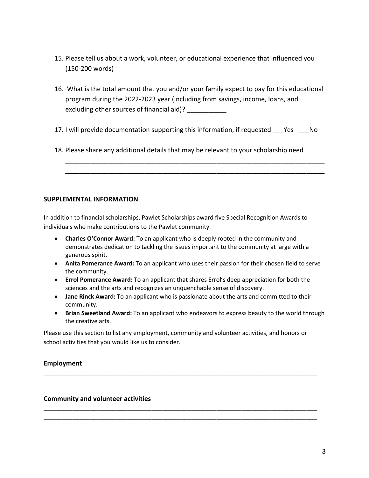- 15. Please tell us about a work, volunteer, or educational experience that influenced you (150-200 words)
- 16. What is the total amount that you and/or your family expect to pay for this educational program during the 2022-2023 year (including from savings, income, loans, and excluding other sources of financial aid)? \_\_\_\_\_\_\_\_\_\_\_\_
- 17. I will provide documentation supporting this information, if requested Yes No

\_\_\_\_\_\_\_\_\_\_\_\_\_\_\_\_\_\_\_\_\_\_\_\_\_\_\_\_\_\_\_\_\_\_\_\_\_\_\_\_\_\_\_\_\_\_\_\_\_\_\_\_\_\_\_\_\_\_\_\_\_\_\_\_\_\_\_\_\_\_\_\_ \_\_\_\_\_\_\_\_\_\_\_\_\_\_\_\_\_\_\_\_\_\_\_\_\_\_\_\_\_\_\_\_\_\_\_\_\_\_\_\_\_\_\_\_\_\_\_\_\_\_\_\_\_\_\_\_\_\_\_\_\_\_\_\_\_\_\_\_\_\_\_\_

18. Please share any additional details that may be relevant to your scholarship need

### **SUPPLEMENTAL INFORMATION**

In addition to financial scholarships, Pawlet Scholarships award five Special Recognition Awards to individuals who make contributions to the Pawlet community.

- **Charles O'Connor Award:** To an applicant who is deeply rooted in the community and demonstrates dedication to tackling the issues important to the community at large with a generous spirit.
- **Anita Pomerance Award:** To an applicant who uses their passion for their chosen field to serve the community.
- **Errol Pomerance Award:** To an applicant that shares Errol's deep appreciation for both the sciences and the arts and recognizes an unquenchable sense of discovery.
- **Jane Rinck Award:** To an applicant who is passionate about the arts and committed to their community.
- **Brian Sweetland Award:** To an applicant who endeavors to express beauty to the world through the creative arts.

Please use this section to list any employment, community and volunteer activities, and honors or school activities that you would like us to consider.

**\_\_\_\_\_\_\_\_\_\_\_\_\_\_\_\_\_\_\_\_\_\_\_\_\_\_\_\_\_\_\_\_\_\_\_\_\_\_\_\_\_\_\_\_\_\_\_\_\_\_\_\_\_\_\_\_\_\_\_\_\_\_\_\_\_\_\_\_\_\_\_\_\_\_\_\_ \_\_\_\_\_\_\_\_\_\_\_\_\_\_\_\_\_\_\_\_\_\_\_\_\_\_\_\_\_\_\_\_\_\_\_\_\_\_\_\_\_\_\_\_\_\_\_\_\_\_\_\_\_\_\_\_\_\_\_\_\_\_\_\_\_\_\_\_\_\_\_\_\_\_\_\_**

**\_\_\_\_\_\_\_\_\_\_\_\_\_\_\_\_\_\_\_\_\_\_\_\_\_\_\_\_\_\_\_\_\_\_\_\_\_\_\_\_\_\_\_\_\_\_\_\_\_\_\_\_\_\_\_\_\_\_\_\_\_\_\_\_\_\_\_\_\_\_\_\_\_\_\_\_ \_\_\_\_\_\_\_\_\_\_\_\_\_\_\_\_\_\_\_\_\_\_\_\_\_\_\_\_\_\_\_\_\_\_\_\_\_\_\_\_\_\_\_\_\_\_\_\_\_\_\_\_\_\_\_\_\_\_\_\_\_\_\_\_\_\_\_\_\_\_\_\_\_\_\_\_**

#### **Employment**

#### **Community and volunteer activities**